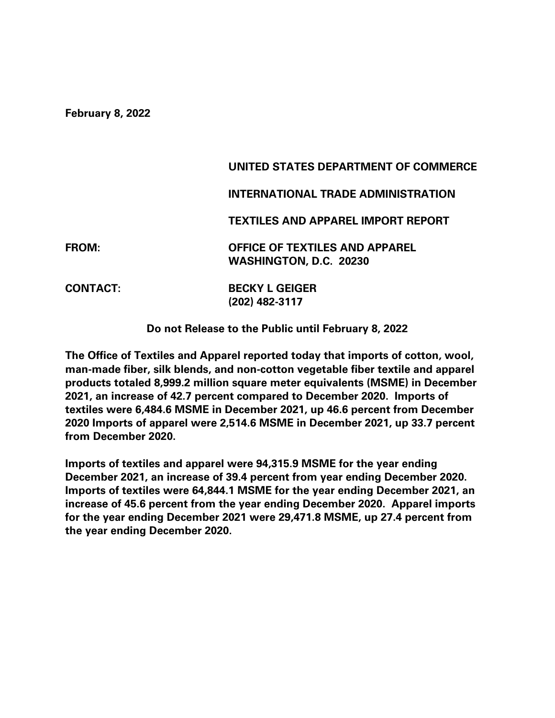**February 8, 2022**

|                 | UNITED STATES DEPARTMENT OF COMMERCE                            |
|-----------------|-----------------------------------------------------------------|
|                 | INTERNATIONAL TRADE ADMINISTRATION                              |
|                 | TEXTILES AND APPAREL IMPORT REPORT                              |
| <b>FROM:</b>    | <b>OFFICE OF TEXTILES AND APPAREL</b><br>WASHINGTON, D.C. 20230 |
| <b>CONTACT:</b> | <b>BECKY L GEIGER</b><br>(202) 482-3117                         |

**Do not Release to the Public until February 8, 2022**

**The Office of Textiles and Apparel reported today that imports of cotton, wool, man-made fiber, silk blends, and non-cotton vegetable fiber textile and apparel products totaled 8,999.2 million square meter equivalents (MSME) in December 2021, an increase of 42.7 percent compared to December 2020. Imports of textiles were 6,484.6 MSME in December 2021, up 46.6 percent from December 2020 Imports of apparel were 2,514.6 MSME in December 2021, up 33.7 percent from December 2020.** 

**Imports of textiles and apparel were 94,315.9 MSME for the year ending December 2021, an increase of 39.4 percent from year ending December 2020. Imports of textiles were 64,844.1 MSME for the year ending December 2021, an increase of 45.6 percent from the year ending December 2020. Apparel imports for the year ending December 2021 were 29,471.8 MSME, up 27.4 percent from the year ending December 2020.**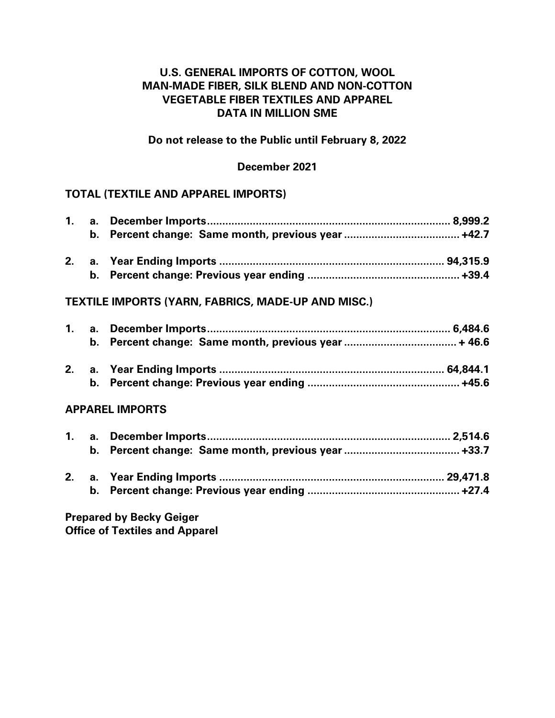# **U.S. GENERAL IMPORTS OF COTTON, WOOL MAN-MADE FIBER, SILK BLEND AND NON-COTTON VEGETABLE FIBER TEXTILES AND APPAREL DATA IN MILLION SME**

## **Do not release to the Public until February 8, 2022**

### **December 2021**

## **TOTAL (TEXTILE AND APPAREL IMPORTS)**

|    |    | <b>TEXTILE IMPORTS (YARN, FABRICS, MADE-UP AND MISC.)</b> |  |
|----|----|-----------------------------------------------------------|--|
|    |    |                                                           |  |
|    |    |                                                           |  |
|    |    |                                                           |  |
|    | b. |                                                           |  |
|    |    | <b>APPAREL IMPORTS</b>                                    |  |
| 1. |    |                                                           |  |
|    | b. |                                                           |  |
|    |    |                                                           |  |
|    |    |                                                           |  |

**Prepared by Becky Geiger Office of Textiles and Apparel**